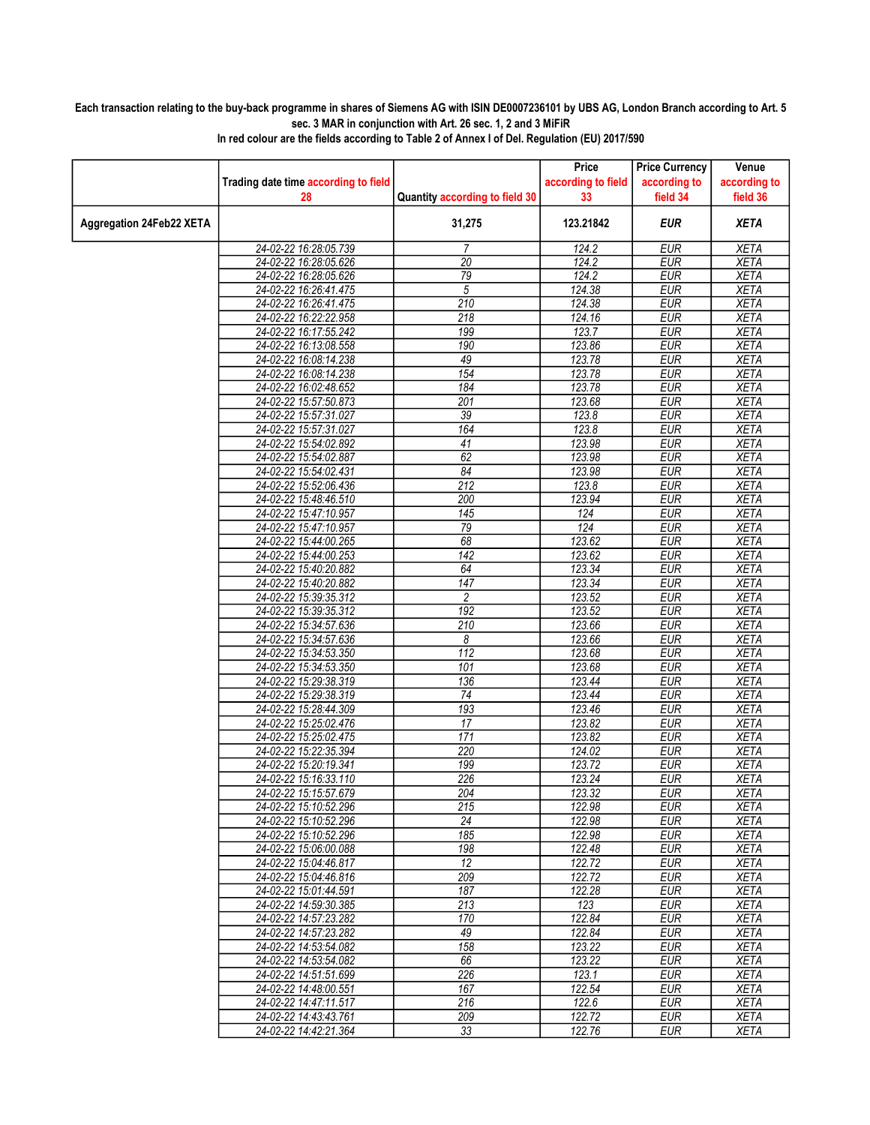## Each transaction relating to the buy-back programme in shares of Siemens AG with ISIN DE0007236101 by UBS AG, London Branch according to Art. 5 sec. 3 MAR in conjunction with Art. 26 sec. 1, 2 and 3 MiFiR

|                          |                                      |                                | Price              | <b>Price Currency</b> | Venue        |
|--------------------------|--------------------------------------|--------------------------------|--------------------|-----------------------|--------------|
|                          | Trading date time according to field |                                | according to field | according to          | according to |
|                          | 28                                   | Quantity according to field 30 | 33                 | field 34              | field 36     |
| Aggregation 24Feb22 XETA |                                      | 31,275                         | 123.21842          | <b>EUR</b>            | <b>XETA</b>  |
|                          | 24-02-22 16:28:05.739                | $\overline{7}$                 | 124.2              | <b>EUR</b>            | <b>XETA</b>  |
|                          | 24-02-22 16:28:05.626                | $\overline{20}$                | 124.2              | <b>EUR</b>            | <b>XETA</b>  |
|                          | 24-02-22 16:28:05.626                | 79                             | 124.2              | <b>EUR</b>            | <b>XETA</b>  |
|                          | 24-02-22 16:26:41.475                | 5                              | 124.38             | <b>EUR</b>            | <b>XETA</b>  |
|                          | 24-02-22 16:26:41.475                | 210                            | 124.38             | <b>EUR</b>            | <b>XETA</b>  |
|                          | 24-02-22 16:22:22.958                | 218                            | 124.16             | <b>EUR</b>            | <b>XETA</b>  |
|                          | 24-02-22 16:17:55.242                | 199                            | 123.7              | <b>EUR</b>            | <b>XETA</b>  |
|                          | 24-02-22 16:13:08.558                | 190                            | 123.86             | <b>EUR</b>            | <b>XETA</b>  |
|                          | 24-02-22 16:08:14.238                | 49                             | 123.78             | <b>EUR</b>            | <b>XETA</b>  |
|                          | 24-02-22 16:08:14.238                | 154                            | 123.78             | <b>EUR</b>            | <b>XETA</b>  |
|                          | 24-02-22 16:02:48.652                | 184                            | 123.78             | <b>EUR</b>            | <b>XETA</b>  |
|                          | 24-02-22 15:57:50.873                | 201                            | 123.68             | <b>EUR</b>            | <b>XETA</b>  |
|                          | 24-02-22 15:57:31.027                | 39                             | 123.8              | <b>EUR</b>            | <b>XETA</b>  |
|                          | 24-02-22 15:57:31.027                | 164                            | 123.8              | <b>EUR</b>            | <b>XETA</b>  |
|                          | 24-02-22 15:54:02.892                | 41                             | 123.98             | <b>EUR</b>            | <b>XETA</b>  |
|                          | 24-02-22 15:54:02.887                | 62                             | 123.98             | <b>EUR</b>            | <b>XETA</b>  |
|                          | 24-02-22 15:54:02.431                | 84                             | 123.98             | <b>EUR</b>            | <b>XETA</b>  |
|                          | 24-02-22 15:52:06.436                | 212                            | 123.8              | <b>EUR</b>            | <b>XETA</b>  |
|                          | 24-02-22 15:48:46.510                | 200                            | 123.94             | <b>EUR</b>            | <b>XETA</b>  |
|                          | 24-02-22 15:47:10.957                | 145                            | 124                | EUR                   | <b>XETA</b>  |
|                          | 24-02-22 15:47:10.957                | 79                             | 124                | <b>EUR</b>            | <b>XETA</b>  |
|                          | 24-02-22 15:44:00.265                | 68                             | 123.62             | <b>EUR</b>            | <b>XETA</b>  |
|                          | 24-02-22 15:44:00.253                | 142                            | 123.62             | <b>EUR</b>            | <b>XETA</b>  |
|                          | 24-02-22 15:40:20.882                | 64                             | 123.34             | <b>EUR</b>            | <b>XETA</b>  |
|                          | 24-02-22 15:40:20.882                | 147                            | 123.34             | <b>EUR</b>            | <b>XETA</b>  |
|                          | 24-02-22 15:39:35.312                | $\overline{c}$                 | 123.52             | <b>EUR</b>            | <b>XETA</b>  |
|                          | 24-02-22 15:39:35.312                | 192                            | 123.52             | <b>EUR</b>            | <b>XETA</b>  |
|                          | 24-02-22 15:34:57.636                | 210                            | 123.66             | <b>EUR</b>            | <b>XETA</b>  |
|                          | 24-02-22 15:34:57.636                | 8                              | 123.66             | <b>EUR</b>            | <b>XETA</b>  |
|                          | 24-02-22 15:34:53.350                | 112                            | 123.68             | <b>EUR</b>            | <b>XETA</b>  |
|                          | 24-02-22 15:34:53.350                | 101                            | 123.68             | <b>EUR</b>            | <b>XETA</b>  |
|                          | 24-02-22 15:29:38.319                | 136                            | 123.44             | <b>EUR</b>            | <b>XETA</b>  |
|                          | 24-02-22 15:29:38.319                | 74                             | 123.44             | <b>EUR</b>            | <b>XETA</b>  |
|                          | 24-02-22 15:28:44.309                | 193                            | 123.46             | <b>EUR</b>            | <b>XETA</b>  |
|                          | 24-02-22 15:25:02.476                | 17                             | 123.82             | <b>EUR</b>            | <b>XETA</b>  |
|                          | 24-02-22 15:25:02.475                | 171                            | 123.82             | <b>EUR</b>            | <b>XETA</b>  |
|                          | 24-02-22 15:22:35.394                | 220                            | 124.02             | <b>EUR</b>            | <b>XETA</b>  |
|                          | 24-02-22 15:20:19.341                | 199                            | 123.72             | <b>EUR</b>            | <b>XETA</b>  |
|                          | 24-02-22 15:16:33.110                | 226                            | 123.24             | <b>EUR</b>            | <b>XETA</b>  |
|                          | 24-02-22 15:15:57.679                | 204                            | 123.32             | <b>EUR</b>            | <b>XETA</b>  |
|                          | 24-02-22 15:10:52.296                | 215                            | 122.98             | EUR                   | XETA         |
|                          | 24-02-22 15:10:52.296                | 24                             | 122.98             | <b>EUR</b>            | <b>XETA</b>  |
|                          | 24-02-22 15:10:52.296                | 185                            | 122.98             | <b>EUR</b>            | <b>XETA</b>  |
|                          | 24-02-22 15:06:00.088                | 198                            | 122.48             | <b>EUR</b>            | <b>XETA</b>  |
|                          | 24-02-22 15:04:46.817                | 12                             | 122.72             | <b>EUR</b>            | <b>XETA</b>  |
|                          | 24-02-22 15:04:46.816                | 209                            | 122.72             | <b>EUR</b>            | XETA         |
|                          | 24-02-22 15:01:44.591                | 187                            | 122.28             | <b>EUR</b>            | <b>XETA</b>  |
|                          | 24-02-22 14:59:30.385                | 213                            | 123                | <b>EUR</b>            | <b>XETA</b>  |
|                          | 24-02-22 14:57:23.282                | 170                            | 122.84             | <b>EUR</b>            | <b>XETA</b>  |
|                          | 24-02-22 14:57:23.282                | 49                             | 122.84             | <b>EUR</b>            | <b>XETA</b>  |
|                          | 24-02-22 14:53:54.082                | 158                            | 123.22             | <b>EUR</b>            | <b>XETA</b>  |
|                          | 24-02-22 14:53:54.082                | 66                             | 123.22             | <b>EUR</b>            | <b>XETA</b>  |
|                          | 24-02-22 14:51:51.699                | 226                            | 123.1              | <b>EUR</b>            | <b>XETA</b>  |
|                          | 24-02-22 14:48:00.551                | 167                            | 122.54             | <b>EUR</b>            | <b>XETA</b>  |
|                          | 24-02-22 14:47:11.517                | 216                            | 122.6              | <b>EUR</b>            | <b>XETA</b>  |
|                          | 24-02-22 14:43:43.761                | 209                            | 122.72             | <b>EUR</b>            | <b>XETA</b>  |
|                          | 24-02-22 14:42:21.364                | 33                             | 122.76             | <b>EUR</b>            | XETA         |
|                          |                                      |                                |                    |                       |              |

In red colour are the fields according to Table 2 of Annex I of Del. Regulation (EU) 2017/590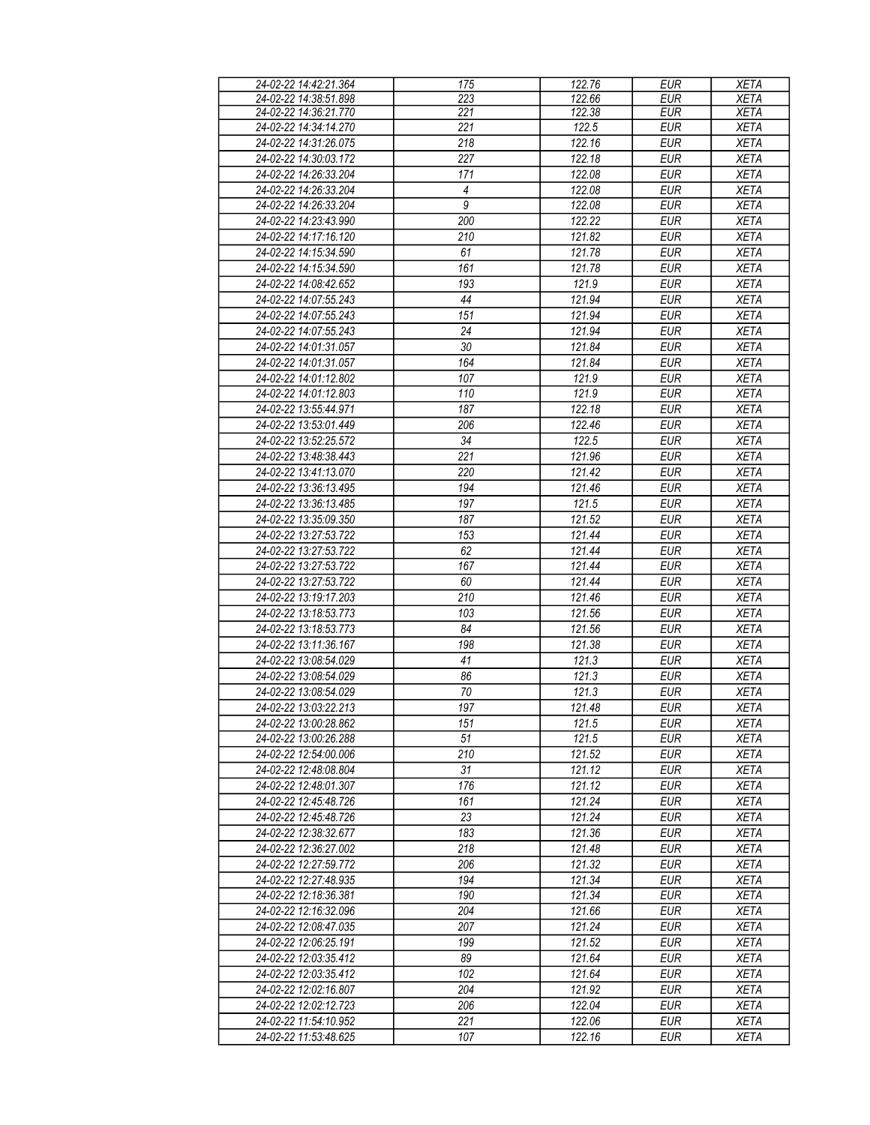| 24-02-22 14:42:21.364 | 175              | 122.76 | <b>EUR</b> | <b>XETA</b> |
|-----------------------|------------------|--------|------------|-------------|
| 24-02-22 14:38:51.898 | 223              | 122.66 | <b>EUR</b> | <b>XETA</b> |
| 24-02-22 14:36:21.770 | 221              | 122.38 | <b>EUR</b> | <b>XETA</b> |
|                       | 221              | 122.5  | <b>EUR</b> |             |
| 24-02-22 14:34:14.270 |                  |        |            | <b>XETA</b> |
| 24-02-22 14:31:26.075 | $\overline{218}$ | 122.16 | <b>EUR</b> | <b>XETA</b> |
| 24-02-22 14:30:03.172 | 227              | 122.18 | <b>EUR</b> | <b>XETA</b> |
| 24-02-22 14:26:33.204 | 171              | 122.08 | <b>EUR</b> | <b>XETA</b> |
| 24-02-22 14:26:33.204 | 4                | 122.08 | <b>EUR</b> | <b>XETA</b> |
| 24-02-22 14:26:33.204 | $\overline{9}$   | 122.08 | <b>EUR</b> | <b>XETA</b> |
|                       |                  |        |            |             |
| 24-02-22 14:23:43.990 | 200              | 122.22 | <b>EUR</b> | <b>XETA</b> |
| 24-02-22 14:17:16.120 | 210              | 121.82 | <b>EUR</b> | <b>XETA</b> |
| 24-02-22 14:15:34.590 | 61               | 121.78 | <b>EUR</b> | <b>XETA</b> |
| 24-02-22 14:15:34.590 | 161              | 121.78 | <b>EUR</b> | <b>XETA</b> |
| 24-02-22 14:08:42.652 | 193              | 121.9  | <b>EUR</b> | <b>XETA</b> |
| 24-02-22 14:07:55.243 | 44               | 121.94 | <b>EUR</b> | <b>XETA</b> |
| 24-02-22 14:07:55.243 | 151              | 121.94 | <b>EUR</b> | <b>XETA</b> |
|                       |                  |        |            |             |
| 24-02-22 14:07:55.243 | 24               | 121.94 | <b>EUR</b> | <b>XETA</b> |
| 24-02-22 14:01:31.057 | 30               | 121.84 | <b>EUR</b> | <b>XETA</b> |
| 24-02-22 14:01:31.057 | 164              | 121.84 | <b>EUR</b> | <b>XETA</b> |
| 24-02-22 14:01:12.802 | 107              | 121.9  | <b>EUR</b> | <b>XETA</b> |
| 24-02-22 14:01:12.803 | 110              | 121.9  | <b>EUR</b> | <b>XETA</b> |
| 24-02-22 13:55:44.971 | 187              | 122.18 | <b>EUR</b> | <b>XETA</b> |
| 24-02-22 13:53:01.449 | 206              | 122.46 | EUR        | <b>XETA</b> |
|                       | 34               |        |            |             |
| 24-02-22 13:52:25.572 |                  | 122.5  | <b>EUR</b> | <b>XETA</b> |
| 24-02-22 13:48:38.443 | $\overline{221}$ | 121.96 | EUR        | <b>XETA</b> |
| 24-02-22 13:41:13.070 | 220              | 121.42 | <b>EUR</b> | <b>XETA</b> |
| 24-02-22 13:36:13.495 | 194              | 121.46 | <b>EUR</b> | <b>XETA</b> |
| 24-02-22 13:36:13.485 | 197              | 121.5  | <b>EUR</b> | <b>XETA</b> |
| 24-02-22 13:35:09.350 | 187              | 121.52 | <b>EUR</b> | <b>XETA</b> |
| 24-02-22 13:27:53.722 | 153              | 121.44 | <b>EUR</b> | <b>XETA</b> |
|                       | 62               |        | <b>EUR</b> |             |
| 24-02-22 13:27:53.722 |                  | 121.44 |            | <b>XETA</b> |
| 24-02-22 13:27:53.722 | 167              | 121.44 | <b>EUR</b> | <b>XETA</b> |
| 24-02-22 13:27:53.722 | 60               | 121.44 | <b>EUR</b> | <b>XETA</b> |
| 24-02-22 13:19:17.203 | 210              | 121.46 | <b>EUR</b> | <b>XETA</b> |
| 24-02-22 13:18:53.773 | 103              | 121.56 | <b>EUR</b> | <b>XETA</b> |
| 24-02-22 13:18:53.773 | 84               | 121.56 | <b>EUR</b> | <b>XETA</b> |
| 24-02-22 13:11:36.167 | 198              | 121.38 | <b>EUR</b> | <b>XETA</b> |
| 24-02-22 13:08:54.029 | 41               | 121.3  | <b>EUR</b> | <b>XETA</b> |
| 24-02-22 13:08:54.029 |                  |        |            |             |
|                       | 86               | 121.3  | <b>EUR</b> | <b>XETA</b> |
| 24-02-22 13:08:54.029 | 70               | 121.3  | <b>EUR</b> | <b>XETA</b> |
| 24-02-22 13:03:22.213 | 197              | 121.48 | EUR        | <b>XETA</b> |
| 24-02-22 13:00:28.862 | 151              | 121.5  | <b>EUR</b> | <b>XETA</b> |
| 24-02-22 13:00:26.288 | 51               | 121.5  | <b>EUR</b> | <b>XETA</b> |
| 24-02-22 12:54:00.006 | 210              | 121.52 | <b>EUR</b> | <b>XETA</b> |
| 24-02-22 12:48:08.804 | 31               | 121.12 | <b>EUR</b> | <b>XETA</b> |
| 24-02-22 12:48:01.307 | 176              | 121.12 | <b>EUR</b> | <b>XETA</b> |
|                       |                  |        |            |             |
| 24-02-22 12:45:48.726 | 161              | 121.24 | <b>EUR</b> | <b>XETA</b> |
| 24-02-22 12:45:48.726 | 23               | 121.24 | <b>EUR</b> | <b>XETA</b> |
| 24-02-22 12:38:32.677 | 183              | 121.36 | <b>EUR</b> | <b>XETA</b> |
| 24-02-22 12:36:27.002 | 218              | 121.48 | <b>EUR</b> | <b>XETA</b> |
| 24-02-22 12:27:59.772 | 206              | 121.32 | <b>EUR</b> | <b>XETA</b> |
| 24-02-22 12:27:48.935 | 194              | 121.34 | <b>EUR</b> | <b>XETA</b> |
| 24-02-22 12:18:36.381 | 190              | 121.34 | <b>EUR</b> | <b>XETA</b> |
| 24-02-22 12:16:32.096 | 204              | 121.66 | <b>EUR</b> | <b>XETA</b> |
| 24-02-22 12:08:47.035 | 207              | 121.24 | <b>EUR</b> | <b>XETA</b> |
|                       |                  |        |            |             |
| 24-02-22 12:06:25.191 | 199              | 121.52 | <b>EUR</b> | <b>XETA</b> |
| 24-02-22 12:03:35.412 | 89               | 121.64 | <b>EUR</b> | <b>XETA</b> |
| 24-02-22 12:03:35.412 | 102              | 121.64 | <b>EUR</b> | <b>XETA</b> |
| 24-02-22 12:02:16.807 | 204              | 121.92 | <b>EUR</b> | <b>XETA</b> |
| 24-02-22 12:02:12.723 | 206              | 122.04 | <b>EUR</b> | <b>XETA</b> |
| 24-02-22 11:54:10.952 | 221              | 122.06 | <b>EUR</b> | <b>XETA</b> |
| 24-02-22 11:53:48.625 |                  |        |            |             |
|                       | 107              | 122.16 | <b>EUR</b> | <b>XETA</b> |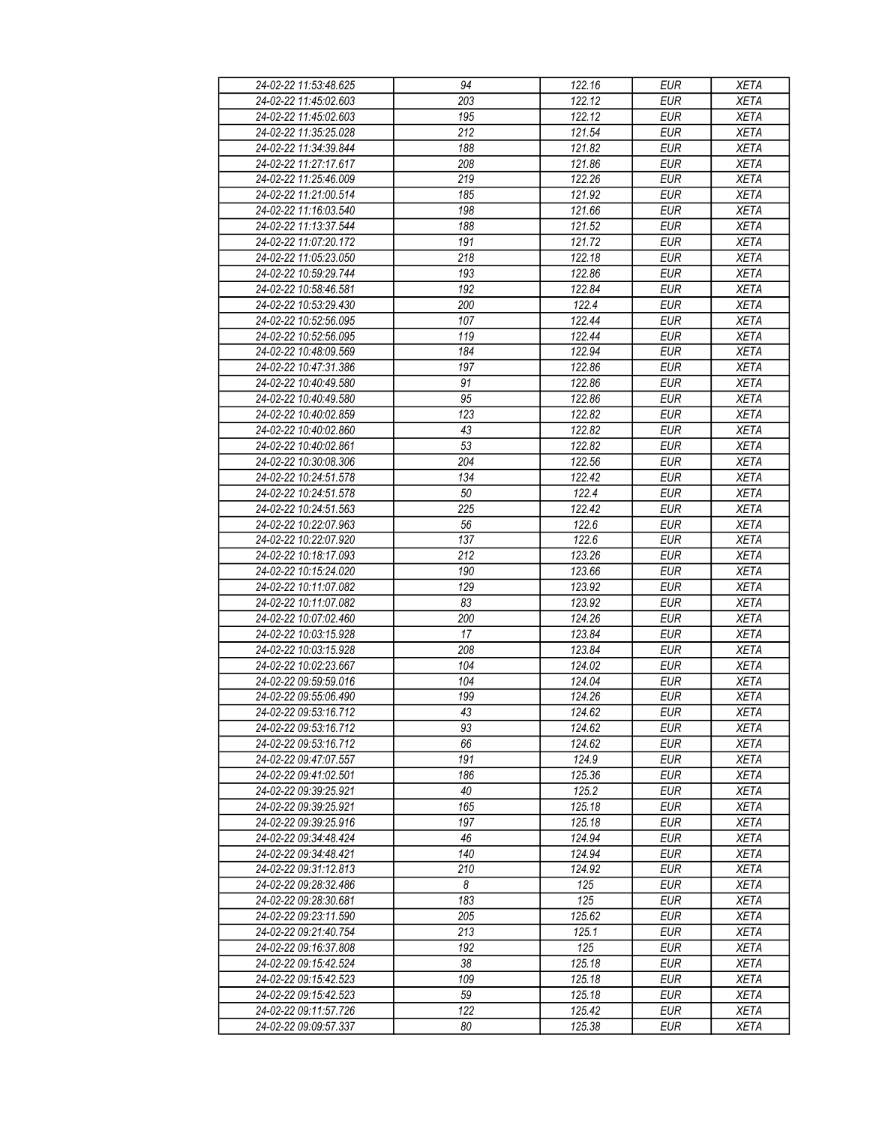| 24-02-22 11:53:48.625 | 94               | 122.16              | <b>EUR</b>               | <b>XETA</b> |
|-----------------------|------------------|---------------------|--------------------------|-------------|
| 24-02-22 11:45:02.603 | 203              | 122.12              | <b>EUR</b>               | <b>XETA</b> |
| 24-02-22 11:45:02.603 | 195              | 122.12              | <b>EUR</b>               | <b>XETA</b> |
| 24-02-22 11:35:25.028 | 212              | 121.54              | <b>EUR</b>               | <b>XETA</b> |
| 24-02-22 11:34:39.844 | 188              | 121.82              | <b>EUR</b>               | <b>XETA</b> |
| 24-02-22 11:27:17.617 | 208              | 121.86              | <b>EUR</b>               | <b>XETA</b> |
| 24-02-22 11:25:46.009 | 219              | 122.26              | <b>EUR</b>               | <b>XETA</b> |
| 24-02-22 11:21:00.514 | 185              | 121.92              | <b>EUR</b>               | <b>XETA</b> |
| 24-02-22 11:16:03.540 | 198              | 121.66              | <b>EUR</b>               | <b>XETA</b> |
| 24-02-22 11:13:37.544 | 188              | 121.52              | <b>EUR</b>               | <b>XETA</b> |
| 24-02-22 11:07:20.172 | 191              | 121.72              | <b>EUR</b>               | <b>XETA</b> |
| 24-02-22 11:05:23.050 | 218              | 122.18              | <b>EUR</b>               | <b>XETA</b> |
| 24-02-22 10:59:29.744 | 193              | 122.86              | <b>EUR</b>               | <b>XETA</b> |
| 24-02-22 10:58:46.581 | 192              | 122.84              | <b>EUR</b>               | <b>XETA</b> |
| 24-02-22 10:53:29.430 | 200              | 122.4               | <b>EUR</b>               | <b>XETA</b> |
|                       | 107              | 122.44              |                          |             |
| 24-02-22 10:52:56.095 | 119              | 122.44              | <b>EUR</b><br><b>EUR</b> | <b>XETA</b> |
| 24-02-22 10:52:56.095 |                  |                     |                          | <b>XETA</b> |
| 24-02-22 10:48:09.569 | 184              | 122.94              | <b>EUR</b>               | <b>XETA</b> |
| 24-02-22 10:47:31.386 | 197              | 122.86              | <b>EUR</b>               | <b>XETA</b> |
| 24-02-22 10:40:49.580 | 91               | 122.86              | <b>EUR</b>               | <b>XETA</b> |
| 24-02-22 10:40:49.580 | 95               | 122.86              | <b>EUR</b>               | <b>XETA</b> |
| 24-02-22 10:40:02.859 | 123              | 122.82              | <b>EUR</b>               | <b>XETA</b> |
| 24-02-22 10:40:02.860 | 43               | 122.82              | <b>EUR</b>               | <b>XETA</b> |
| 24-02-22 10:40:02.861 | 53               | 122.82              | <b>EUR</b>               | <b>XETA</b> |
| 24-02-22 10:30:08.306 | 204              | $\overline{122.56}$ | <b>EUR</b>               | <b>XETA</b> |
| 24-02-22 10:24:51.578 | 134              | 122.42              | EUR                      | <b>XETA</b> |
| 24-02-22 10:24:51.578 | 50               | 122.4               | <b>EUR</b>               | <b>XETA</b> |
| 24-02-22 10:24:51.563 | $\overline{225}$ | 122.42              | <b>EUR</b>               | <b>XETA</b> |
| 24-02-22 10:22:07.963 | 56               | 122.6               | <b>EUR</b>               | <b>XETA</b> |
| 24-02-22 10:22:07.920 | 137              | 122.6               | <b>EUR</b>               | <b>XETA</b> |
| 24-02-22 10:18:17.093 | 212              | 123.26              | <b>EUR</b>               | <b>XETA</b> |
| 24-02-22 10:15:24.020 | 190              | 123.66              | <b>EUR</b>               | <b>XETA</b> |
| 24-02-22 10:11:07.082 | 129              | 123.92              | <b>EUR</b>               | <b>XETA</b> |
| 24-02-22 10:11:07.082 | 83               | 123.92              | <b>EUR</b>               | <b>XETA</b> |
| 24-02-22 10:07:02.460 | 200              | 124.26              | <b>EUR</b>               | <b>XETA</b> |
| 24-02-22 10:03:15.928 | 17               | 123.84              | <b>EUR</b>               | <b>XETA</b> |
| 24-02-22 10:03:15.928 | 208              | 123.84              | <b>EUR</b>               | <b>XETA</b> |
| 24-02-22 10:02:23.667 | 104              | 124.02              | <b>EUR</b>               | <b>XETA</b> |
| 24-02-22 09:59:59.016 | 104              | 124.04              | <b>EUR</b>               | <b>XETA</b> |
| 24-02-22 09:55:06.490 | 199              | 124.26              | <b>EUR</b>               | <b>XETA</b> |
| 24-02-22 09:53:16.712 | 43               | 124.62              | <b>EUR</b>               | <b>XETA</b> |
| 24-02-22 09:53:16.712 | 93               | 124.62              | <b>EUR</b>               | <b>XETA</b> |
| 24-02-22 09:53:16.712 | 66               | 124.62              | <b>EUR</b>               | <b>XETA</b> |
| 24-02-22 09:47:07.557 | 191              | 124.9               | <b>EUR</b>               | <b>XETA</b> |
| 24-02-22 09:41:02.501 | 186              | 125.36              | <b>EUR</b>               | <b>XETA</b> |
| 24-02-22 09:39:25.921 | 40               | 125.2               | <b>EUR</b>               | <b>XETA</b> |
| 24-02-22 09:39:25.921 | 165              | 125.18              | <b>EUR</b>               | <b>XETA</b> |
| 24-02-22 09:39:25.916 | 197              | 125.18              | <b>EUR</b>               | <b>XETA</b> |
| 24-02-22 09:34:48.424 | 46               | 124.94              | <b>EUR</b>               | <b>XETA</b> |
| 24-02-22 09:34:48.421 | 140              | 124.94              | <b>EUR</b>               | <b>XETA</b> |
| 24-02-22 09:31:12.813 | 210              | 124.92              | <b>EUR</b>               | <b>XETA</b> |
| 24-02-22 09:28:32.486 | 8                | 125                 | <b>EUR</b>               | <b>XETA</b> |
| 24-02-22 09:28:30.681 | 183              | 125                 | <b>EUR</b>               | <b>XETA</b> |
| 24-02-22 09:23:11.590 | 205              | 125.62              | <b>EUR</b>               | <b>XETA</b> |
| 24-02-22 09:21:40.754 | 213              | 125.1               | <b>EUR</b>               | <b>XETA</b> |
| 24-02-22 09:16:37.808 | 192              | 125                 | <b>EUR</b>               | <b>XETA</b> |
| 24-02-22 09:15:42.524 | 38               | 125.18              | <b>EUR</b>               | <b>XETA</b> |
| 24-02-22 09:15:42.523 | 109              | 125.18              | <b>EUR</b>               | <b>XETA</b> |
| 24-02-22 09:15:42.523 | 59               | 125.18              | <b>EUR</b>               | <b>XETA</b> |
| 24-02-22 09:11:57.726 | 122              | 125.42              | <b>EUR</b>               | <b>XETA</b> |
| 24-02-22 09:09:57.337 | 80               | 125.38              | <b>EUR</b>               | <b>XETA</b> |
|                       |                  |                     |                          |             |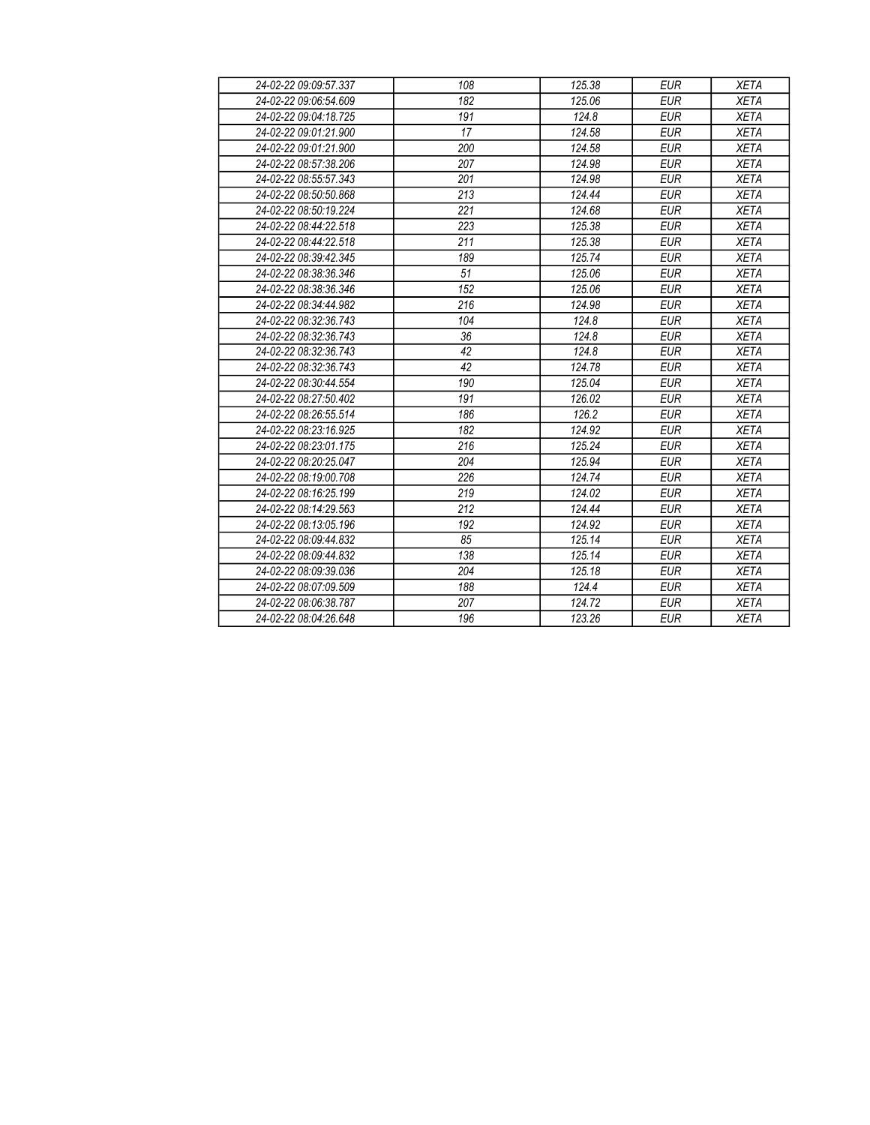| 24-02-22 09:09:57.337 | 108 | 125.38 | <b>EUR</b> | <b>XETA</b> |
|-----------------------|-----|--------|------------|-------------|
| 24-02-22 09:06:54.609 | 182 | 125.06 | <b>EUR</b> | <b>XETA</b> |
| 24-02-22 09:04:18.725 | 191 | 124.8  | <b>EUR</b> | <b>XETA</b> |
| 24-02-22 09:01:21.900 | 17  | 124.58 | <b>EUR</b> | <b>XETA</b> |
| 24-02-22 09:01:21.900 | 200 | 124.58 | <b>EUR</b> | <b>XETA</b> |
| 24-02-22 08:57:38.206 | 207 | 124.98 | <b>EUR</b> | <b>XETA</b> |
| 24-02-22 08:55:57.343 | 201 | 124.98 | <b>EUR</b> | <b>XETA</b> |
| 24-02-22 08:50:50.868 | 213 | 124.44 | <b>EUR</b> | <b>XETA</b> |
| 24-02-22 08:50:19.224 | 221 | 124.68 | <b>EUR</b> | <b>XETA</b> |
| 24-02-22 08:44:22.518 | 223 | 125.38 | <b>EUR</b> | <b>XETA</b> |
| 24-02-22 08:44:22.518 | 211 | 125.38 | <b>EUR</b> | <b>XETA</b> |
| 24-02-22 08:39:42.345 | 189 | 125.74 | <b>EUR</b> | <b>XETA</b> |
| 24-02-22 08:38:36.346 | 51  | 125.06 | <b>EUR</b> | <b>XETA</b> |
| 24-02-22 08:38:36.346 | 152 | 125.06 | <b>EUR</b> | <b>XETA</b> |
| 24-02-22 08:34:44.982 | 216 | 124.98 | <b>EUR</b> | <b>XETA</b> |
| 24-02-22 08:32:36.743 | 104 | 124.8  | <b>EUR</b> | <b>XETA</b> |
| 24-02-22 08:32:36.743 | 36  | 124.8  | <b>EUR</b> | <b>XETA</b> |
| 24-02-22 08:32:36.743 | 42  | 124.8  | <b>EUR</b> | <b>XETA</b> |
| 24-02-22 08:32:36.743 | 42  | 124.78 | <b>EUR</b> | <b>XETA</b> |
| 24-02-22 08:30:44.554 | 190 | 125.04 | <b>EUR</b> | <b>XETA</b> |
| 24-02-22 08:27:50.402 | 191 | 126.02 | <b>EUR</b> | <b>XETA</b> |
| 24-02-22 08:26:55.514 | 186 | 126.2  | <b>EUR</b> | <b>XETA</b> |
| 24-02-22 08:23:16.925 | 182 | 124.92 | <b>EUR</b> | <b>XETA</b> |
| 24-02-22 08:23:01.175 | 216 | 125.24 | <b>EUR</b> | <b>XETA</b> |
| 24-02-22 08:20:25.047 | 204 | 125.94 | <b>EUR</b> | <b>XETA</b> |
| 24-02-22 08:19:00.708 | 226 | 124.74 | <b>EUR</b> | <b>XETA</b> |
| 24-02-22 08:16:25.199 | 219 | 124.02 | <b>EUR</b> | <b>XETA</b> |
| 24-02-22 08:14:29.563 | 212 | 124.44 | <b>EUR</b> | <b>XETA</b> |
| 24-02-22 08:13:05.196 | 192 | 124.92 | <b>EUR</b> | <b>XETA</b> |
| 24-02-22 08:09:44.832 | 85  | 125.14 | <b>EUR</b> | <b>XETA</b> |
| 24-02-22 08:09:44.832 | 138 | 125.14 | <b>EUR</b> | <b>XETA</b> |
| 24-02-22 08:09:39.036 | 204 | 125.18 | <b>EUR</b> | <b>XETA</b> |
| 24-02-22 08:07:09.509 | 188 | 124.4  | <b>EUR</b> | <b>XETA</b> |
| 24-02-22 08:06:38.787 | 207 | 124.72 | <b>EUR</b> | <b>XETA</b> |
| 24-02-22 08:04:26.648 | 196 | 123.26 | <b>EUR</b> | <b>XETA</b> |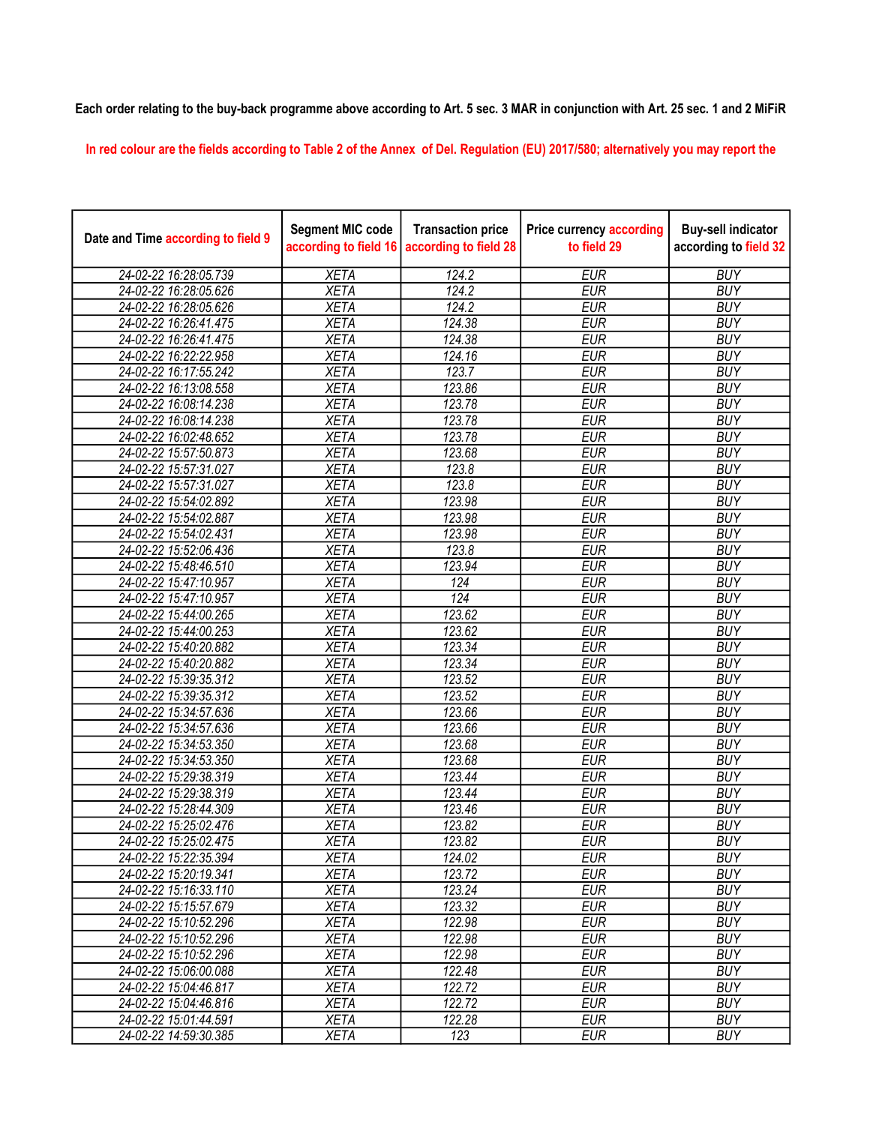## Each order relating to the buy-back programme above according to Art. 5 sec. 3 MAR in conjunction with Art. 25 sec. 1 and 2 MiFiR

In red colour are the fields according to Table 2 of the Annex of Del. Regulation (EU) 2017/580; alternatively you may report the

| Date and Time according to field 9 | <b>Segment MIC code</b><br>according to field 16 | <b>Transaction price</b><br>according to field 28 | <b>Price currency according</b><br>to field 29 | <b>Buy-sell indicator</b><br>according to field 32 |
|------------------------------------|--------------------------------------------------|---------------------------------------------------|------------------------------------------------|----------------------------------------------------|
| 24-02-22 16:28:05.739              | <b>XETA</b>                                      | 124.2                                             | <b>EUR</b>                                     | <b>BUY</b>                                         |
| 24-02-22 16:28:05.626              | <b>XETA</b>                                      | 124.2                                             | <b>EUR</b>                                     | <b>BUY</b>                                         |
| 24-02-22 16:28:05.626              | <b>XETA</b>                                      | 124.2                                             | <b>EUR</b>                                     | <b>BUY</b>                                         |
| 24-02-22 16:26:41.475              | <b>XETA</b>                                      | 124.38                                            | <b>EUR</b>                                     | <b>BUY</b>                                         |
| 24-02-22 16:26:41.475              | <b>XETA</b>                                      | 124.38                                            | <b>EUR</b>                                     | <b>BUY</b>                                         |
| 24-02-22 16:22:22.958              | <b>XETA</b>                                      | 124.16                                            | <b>EUR</b>                                     | <b>BUY</b>                                         |
| 24-02-22 16:17:55.242              | <b>XETA</b>                                      | 123.7                                             | <b>EUR</b>                                     | <b>BUY</b>                                         |
| 24-02-22 16:13:08.558              | <b>XETA</b>                                      | 123.86                                            | <b>EUR</b>                                     | <b>BUY</b>                                         |
| 24-02-22 16:08:14.238              | <b>XETA</b>                                      | 123.78                                            | <b>EUR</b>                                     | <b>BUY</b>                                         |
| 24-02-22 16:08:14.238              | <b>XETA</b>                                      | 123.78                                            | <b>EUR</b>                                     | <b>BUY</b>                                         |
| 24-02-22 16:02:48.652              | <b>XETA</b>                                      | 123.78                                            | <b>EUR</b>                                     | <b>BUY</b>                                         |
| 24-02-22 15:57:50.873              | <b>XETA</b>                                      | 123.68                                            | <b>EUR</b>                                     | <b>BUY</b>                                         |
| 24-02-22 15:57:31.027              | <b>XETA</b>                                      | 123.8                                             | <b>EUR</b>                                     | <b>BUY</b>                                         |
| 24-02-22 15:57:31.027              | <b>XETA</b>                                      | 123.8                                             | <b>EUR</b>                                     | <b>BUY</b>                                         |
| 24-02-22 15:54:02.892              | <b>XETA</b>                                      | 123.98                                            | <b>EUR</b>                                     | <b>BUY</b>                                         |
| 24-02-22 15:54:02.887              | <b>XETA</b>                                      | 123.98                                            | <b>EUR</b>                                     | <b>BUY</b>                                         |
| 24-02-22 15:54:02.431              | <b>XETA</b>                                      | 123.98                                            | <b>EUR</b>                                     | <b>BUY</b>                                         |
| 24-02-22 15:52:06.436              | <b>XETA</b>                                      | 123.8                                             | <b>EUR</b>                                     | <b>BUY</b>                                         |
| 24-02-22 15:48:46.510              | <b>XETA</b>                                      | 123.94                                            | <b>EUR</b>                                     | <b>BUY</b>                                         |
| 24-02-22 15:47:10.957              | <b>XETA</b>                                      | 124                                               | <b>EUR</b>                                     | <b>BUY</b>                                         |
| 24-02-22 15:47:10.957              | <b>XETA</b>                                      | $\overline{124}$                                  | <b>EUR</b>                                     | <b>BUY</b>                                         |
| 24-02-22 15:44:00.265              | <b>XETA</b>                                      | 123.62                                            | <b>EUR</b>                                     | <b>BUY</b>                                         |
| 24-02-22 15:44:00.253              | <b>XETA</b>                                      | 123.62                                            | <b>EUR</b>                                     | <b>BUY</b>                                         |
| 24-02-22 15:40:20.882              | <b>XETA</b>                                      | 123.34                                            | <b>EUR</b>                                     | <b>BUY</b>                                         |
| 24-02-22 15:40:20.882              | <b>XETA</b>                                      | 123.34                                            | <b>EUR</b>                                     | <b>BUY</b>                                         |
| 24-02-22 15:39:35.312              | <b>XETA</b>                                      | 123.52                                            | <b>EUR</b>                                     | <b>BUY</b>                                         |
| 24-02-22 15:39:35.312              | <b>XETA</b>                                      | 123.52                                            | <b>EUR</b>                                     | <b>BUY</b>                                         |
| 24-02-22 15:34:57.636              | <b>XETA</b>                                      | 123.66                                            | <b>EUR</b>                                     | <b>BUY</b>                                         |
| 24-02-22 15:34:57.636              | <b>XETA</b>                                      | 123.66                                            | <b>EUR</b>                                     | <b>BUY</b>                                         |
| 24-02-22 15:34:53.350              | <b>XETA</b>                                      | 123.68                                            | <b>EUR</b>                                     | <b>BUY</b>                                         |
| 24-02-22 15:34:53.350              | <b>XETA</b>                                      | 123.68                                            | <b>EUR</b>                                     | <b>BUY</b>                                         |
| 24-02-22 15:29:38.319              | <b>XETA</b>                                      | 123.44                                            | <b>EUR</b>                                     | <b>BUY</b>                                         |
| 24-02-22 15:29:38.319              | <b>XETA</b>                                      | 123.44                                            | <b>EUR</b>                                     | <b>BUY</b>                                         |
| 24-02-22 15:28:44.309              | <b>XETA</b>                                      | 123.46                                            | <b>EUR</b>                                     | <b>BUY</b>                                         |
| 24-02-22 15:25:02.476              | <b>XETA</b>                                      | 123.82                                            | <b>EUR</b>                                     | <b>BUY</b>                                         |
| 24-02-22 15:25:02.475              | <b>XETA</b>                                      | 123.82                                            | <b>EUR</b>                                     | <b>BUY</b>                                         |
| 24-02-22 15:22:35.394              | <b>XETA</b>                                      | 124.02                                            | <b>EUR</b>                                     | <b>BUY</b>                                         |
| 24-02-22 15:20:19.341              | <b>XETA</b>                                      | 123.72                                            | <b>EUR</b>                                     | <b>BUY</b>                                         |
| 24-02-22 15:16:33.110              | <b>XETA</b>                                      | 123.24                                            | <b>EUR</b>                                     | <b>BUY</b>                                         |
| 24-02-22 15:15:57.679              | <b>XETA</b>                                      | 123.32                                            | <b>EUR</b>                                     | <b>BUY</b>                                         |
| 24-02-22 15:10:52.296              | <b>XETA</b>                                      | 122.98                                            | <b>EUR</b>                                     | <b>BUY</b>                                         |
| 24-02-22 15:10:52.296              | <b>XETA</b>                                      | 122.98                                            | <b>EUR</b>                                     | <b>BUY</b>                                         |
| 24-02-22 15:10:52.296              | <b>XETA</b>                                      | 122.98                                            | <b>EUR</b>                                     | <b>BUY</b>                                         |
| 24-02-22 15:06:00.088              | <b>XETA</b>                                      | 122.48                                            | <b>EUR</b>                                     | <b>BUY</b>                                         |
| 24-02-22 15:04:46.817              | <b>XETA</b>                                      | 122.72                                            | <b>EUR</b>                                     | <b>BUY</b>                                         |
| 24-02-22 15:04:46.816              | <b>XETA</b>                                      | 122.72                                            | <b>EUR</b>                                     | <b>BUY</b>                                         |
| 24-02-22 15:01:44.591              | <b>XETA</b>                                      | 122.28                                            | <b>EUR</b>                                     | <b>BUY</b>                                         |
| 24-02-22 14:59:30.385              | <b>XETA</b>                                      | 123                                               | <b>EUR</b>                                     | <b>BUY</b>                                         |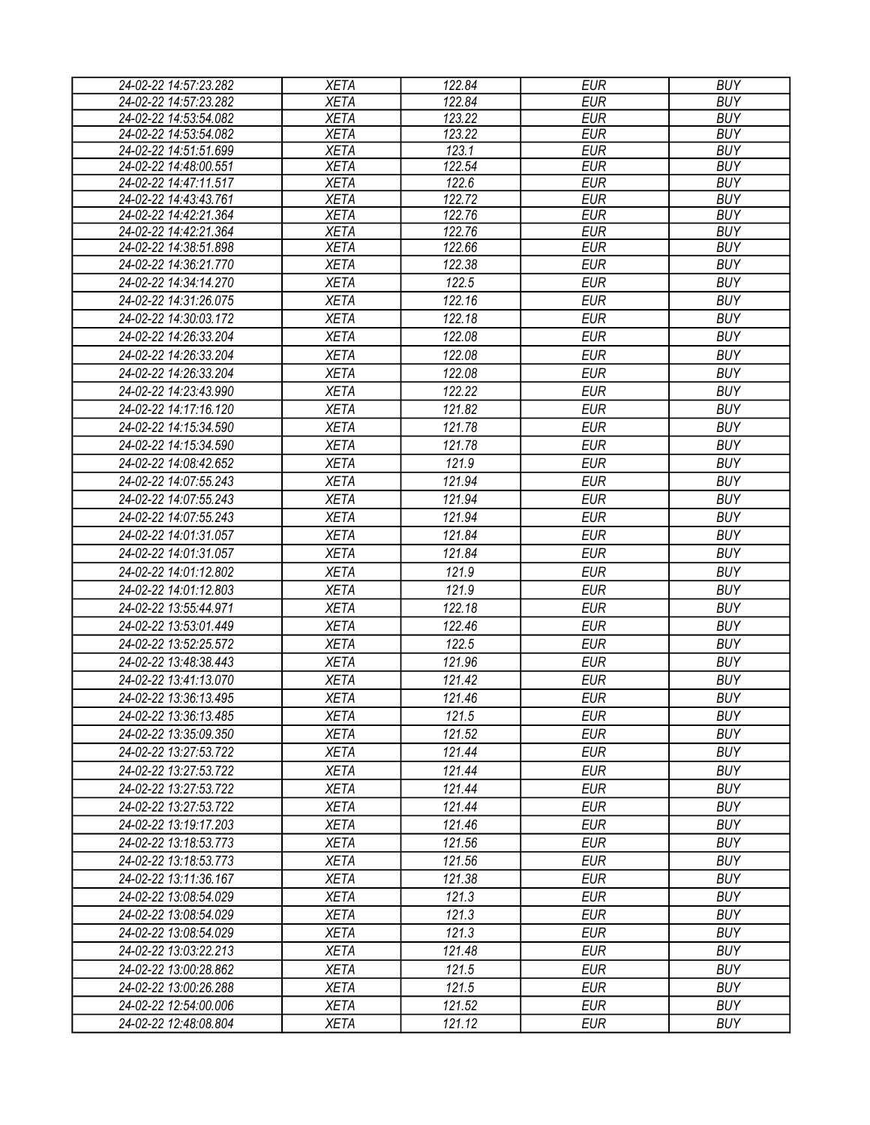| 122.84<br><b>EUR</b><br>24-02-22 14:57:23.282<br><b>XETA</b><br><b>BUY</b><br>123.22<br><b>EUR</b><br><b>BUY</b><br>24-02-22 14:53:54.082<br><b>XETA</b><br>24-02-22 14:53:54.082<br><b>XETA</b><br>123.22<br><b>EUR</b><br><b>BUY</b><br>24-02-22 14:51:51.699<br><b>XETA</b><br>123.1<br><b>EUR</b><br><b>BUY</b><br><b>XETA</b><br>122.54<br><b>EUR</b><br>24-02-22 14:48:00.551<br><b>BUY</b><br>24-02-22 14:47:11.517<br><b>EUR</b><br><b>XETA</b><br>122.6<br><b>BUY</b><br>24-02-22 14:43:43.761<br>$\overline{122.72}$<br><b>XETA</b><br><b>EUR</b><br><b>BUY</b><br>24-02-22 14:42:21.364<br><b>XETA</b><br>122.76<br><b>EUR</b><br><b>BUY</b> |  |
|---------------------------------------------------------------------------------------------------------------------------------------------------------------------------------------------------------------------------------------------------------------------------------------------------------------------------------------------------------------------------------------------------------------------------------------------------------------------------------------------------------------------------------------------------------------------------------------------------------------------------------------------------------|--|
|                                                                                                                                                                                                                                                                                                                                                                                                                                                                                                                                                                                                                                                         |  |
|                                                                                                                                                                                                                                                                                                                                                                                                                                                                                                                                                                                                                                                         |  |
|                                                                                                                                                                                                                                                                                                                                                                                                                                                                                                                                                                                                                                                         |  |
|                                                                                                                                                                                                                                                                                                                                                                                                                                                                                                                                                                                                                                                         |  |
|                                                                                                                                                                                                                                                                                                                                                                                                                                                                                                                                                                                                                                                         |  |
|                                                                                                                                                                                                                                                                                                                                                                                                                                                                                                                                                                                                                                                         |  |
|                                                                                                                                                                                                                                                                                                                                                                                                                                                                                                                                                                                                                                                         |  |
|                                                                                                                                                                                                                                                                                                                                                                                                                                                                                                                                                                                                                                                         |  |
| 122.76<br>24-02-22 14:42:21.364<br><b>XETA</b><br><b>EUR</b><br><b>BUY</b>                                                                                                                                                                                                                                                                                                                                                                                                                                                                                                                                                                              |  |
| <b>XETA</b><br>122.66<br><b>EUR</b><br><b>BUY</b><br>24-02-22 14:38:51.898                                                                                                                                                                                                                                                                                                                                                                                                                                                                                                                                                                              |  |
| <b>EUR</b><br>122.38<br><b>BUY</b><br>24-02-22 14:36:21.770<br><b>XETA</b>                                                                                                                                                                                                                                                                                                                                                                                                                                                                                                                                                                              |  |
| 122.5<br><b>EUR</b><br><b>BUY</b><br>24-02-22 14:34:14.270<br><b>XETA</b>                                                                                                                                                                                                                                                                                                                                                                                                                                                                                                                                                                               |  |
| 24-02-22 14:31:26.075<br><b>XETA</b><br>122.16<br><b>EUR</b><br><b>BUY</b>                                                                                                                                                                                                                                                                                                                                                                                                                                                                                                                                                                              |  |
| <b>EUR</b><br><b>BUY</b><br>24-02-22 14:30:03.172<br><b>XETA</b><br>122.18                                                                                                                                                                                                                                                                                                                                                                                                                                                                                                                                                                              |  |
| 122.08<br><b>EUR</b><br><b>BUY</b><br>24-02-22 14:26:33.204<br><b>XETA</b>                                                                                                                                                                                                                                                                                                                                                                                                                                                                                                                                                                              |  |
| 24-02-22 14:26:33.204<br><b>XETA</b><br>122.08<br><b>EUR</b><br><b>BUY</b>                                                                                                                                                                                                                                                                                                                                                                                                                                                                                                                                                                              |  |
| 122.08<br><b>EUR</b><br><b>BUY</b><br>24-02-22 14:26:33.204<br><b>XETA</b>                                                                                                                                                                                                                                                                                                                                                                                                                                                                                                                                                                              |  |
| 122.22<br><b>EUR</b><br><b>BUY</b><br>24-02-22 14:23:43.990<br><b>XETA</b>                                                                                                                                                                                                                                                                                                                                                                                                                                                                                                                                                                              |  |
| <b>EUR</b><br><b>XETA</b><br>121.82<br><b>BUY</b><br>24-02-22 14:17:16.120                                                                                                                                                                                                                                                                                                                                                                                                                                                                                                                                                                              |  |
| <b>XETA</b><br><b>EUR</b><br><b>BUY</b><br>24-02-22 14:15:34.590<br>121.78                                                                                                                                                                                                                                                                                                                                                                                                                                                                                                                                                                              |  |
| <b>XETA</b><br>121.78<br><b>BUY</b><br>24-02-22 14:15:34.590<br>EUR                                                                                                                                                                                                                                                                                                                                                                                                                                                                                                                                                                                     |  |
| 121.9<br><b>EUR</b><br><b>BUY</b><br>24-02-22 14:08:42.652<br><b>XETA</b>                                                                                                                                                                                                                                                                                                                                                                                                                                                                                                                                                                               |  |
| 24-02-22 14:07:55.243<br><b>XETA</b><br>121.94<br><b>EUR</b><br><b>BUY</b>                                                                                                                                                                                                                                                                                                                                                                                                                                                                                                                                                                              |  |
| 24-02-22 14:07:55.243<br><b>XETA</b><br>121.94<br><b>EUR</b><br><b>BUY</b>                                                                                                                                                                                                                                                                                                                                                                                                                                                                                                                                                                              |  |
|                                                                                                                                                                                                                                                                                                                                                                                                                                                                                                                                                                                                                                                         |  |
| 24-02-22 14:07:55.243<br><b>XETA</b><br>121.94<br><b>EUR</b><br><b>BUY</b>                                                                                                                                                                                                                                                                                                                                                                                                                                                                                                                                                                              |  |
| <b>XETA</b><br>121.84<br><b>EUR</b><br><b>BUY</b><br>24-02-22 14:01:31.057                                                                                                                                                                                                                                                                                                                                                                                                                                                                                                                                                                              |  |
| <b>EUR</b><br>24-02-22 14:01:31.057<br><b>XETA</b><br>121.84<br><b>BUY</b>                                                                                                                                                                                                                                                                                                                                                                                                                                                                                                                                                                              |  |
| <b>EUR</b><br>121.9<br><b>BUY</b><br>24-02-22 14:01:12.802<br><b>XETA</b>                                                                                                                                                                                                                                                                                                                                                                                                                                                                                                                                                                               |  |
| 121.9<br><b>EUR</b><br><b>BUY</b><br>24-02-22 14:01:12.803<br><b>XETA</b>                                                                                                                                                                                                                                                                                                                                                                                                                                                                                                                                                                               |  |
| 122.18<br>24-02-22 13:55:44.971<br><b>EUR</b><br><b>BUY</b><br><b>XETA</b>                                                                                                                                                                                                                                                                                                                                                                                                                                                                                                                                                                              |  |
| 24-02-22 13:53:01.449<br>122.46<br><b>EUR</b><br><b>BUY</b><br><b>XETA</b>                                                                                                                                                                                                                                                                                                                                                                                                                                                                                                                                                                              |  |
| 122.5<br><b>EUR</b><br><b>BUY</b><br>24-02-22 13:52:25.572<br><b>XETA</b>                                                                                                                                                                                                                                                                                                                                                                                                                                                                                                                                                                               |  |
| 24-02-22 13:48:38.443<br><b>BUY</b><br><b>XETA</b><br>121.96<br><b>EUR</b>                                                                                                                                                                                                                                                                                                                                                                                                                                                                                                                                                                              |  |
| <b>XETA</b><br>121.42<br><b>EUR</b><br><b>BUY</b><br>24-02-22 13:41:13.070                                                                                                                                                                                                                                                                                                                                                                                                                                                                                                                                                                              |  |
| <b>XETA</b><br><b>EUR</b><br><b>BUY</b><br>24-02-22 13:36:13.495<br>121.46                                                                                                                                                                                                                                                                                                                                                                                                                                                                                                                                                                              |  |
| 121.5<br>24-02-22 13:36:13.485<br><b>XETA</b><br><b>EUR</b><br><b>BUY</b>                                                                                                                                                                                                                                                                                                                                                                                                                                                                                                                                                                               |  |
| <b>XETA</b><br>121.52<br><b>EUR</b><br><b>BUY</b><br>24-02-22 13:35:09.350                                                                                                                                                                                                                                                                                                                                                                                                                                                                                                                                                                              |  |
| 121.44<br><b>EUR</b><br><b>BUY</b><br>24-02-22 13:27:53.722<br><b>XETA</b>                                                                                                                                                                                                                                                                                                                                                                                                                                                                                                                                                                              |  |
| 121.44<br><b>EUR</b><br><b>BUY</b><br>24-02-22 13:27:53.722<br><b>XETA</b>                                                                                                                                                                                                                                                                                                                                                                                                                                                                                                                                                                              |  |
| 121.44<br><b>EUR</b><br><b>BUY</b><br>24-02-22 13:27:53.722<br><b>XETA</b>                                                                                                                                                                                                                                                                                                                                                                                                                                                                                                                                                                              |  |
| <b>BUY</b><br><b>XETA</b><br>121.44<br><b>EUR</b><br>24-02-22 13:27:53.722                                                                                                                                                                                                                                                                                                                                                                                                                                                                                                                                                                              |  |
|                                                                                                                                                                                                                                                                                                                                                                                                                                                                                                                                                                                                                                                         |  |
| <b>XETA</b><br>121.46<br><b>EUR</b><br><b>BUY</b><br>24-02-22 13:19:17.203                                                                                                                                                                                                                                                                                                                                                                                                                                                                                                                                                                              |  |
| <b>BUY</b><br><b>XETA</b><br>121.56<br><b>EUR</b><br>24-02-22 13:18:53.773                                                                                                                                                                                                                                                                                                                                                                                                                                                                                                                                                                              |  |
| 121.56<br><b>EUR</b><br><b>BUY</b><br><b>XETA</b><br>24-02-22 13:18:53.773                                                                                                                                                                                                                                                                                                                                                                                                                                                                                                                                                                              |  |
| <b>XETA</b><br><b>EUR</b><br><b>BUY</b><br>24-02-22 13:11:36.167<br>121.38                                                                                                                                                                                                                                                                                                                                                                                                                                                                                                                                                                              |  |
| <b>XETA</b><br><b>BUY</b><br>24-02-22 13:08:54.029<br>121.3<br>EUR                                                                                                                                                                                                                                                                                                                                                                                                                                                                                                                                                                                      |  |
| <b>EUR</b><br><b>BUY</b><br>121.3<br>24-02-22 13:08:54.029<br><b>XETA</b>                                                                                                                                                                                                                                                                                                                                                                                                                                                                                                                                                                               |  |
| 121.3<br><b>EUR</b><br><b>BUY</b><br>24-02-22 13:08:54.029<br><b>XETA</b>                                                                                                                                                                                                                                                                                                                                                                                                                                                                                                                                                                               |  |
| <b>BUY</b><br><b>XETA</b><br>121.48<br><b>EUR</b><br>24-02-22 13:03:22.213                                                                                                                                                                                                                                                                                                                                                                                                                                                                                                                                                                              |  |
| <b>XETA</b><br>121.5<br><b>EUR</b><br><b>BUY</b><br>24-02-22 13:00:28.862                                                                                                                                                                                                                                                                                                                                                                                                                                                                                                                                                                               |  |
| <b>BUY</b><br>121.5<br><b>EUR</b><br>24-02-22 13:00:26.288<br><b>XETA</b>                                                                                                                                                                                                                                                                                                                                                                                                                                                                                                                                                                               |  |
| <b>EUR</b><br><b>BUY</b><br>24-02-22 12:54:00.006<br><b>XETA</b><br>121.52                                                                                                                                                                                                                                                                                                                                                                                                                                                                                                                                                                              |  |
| <b>EUR</b><br>24-02-22 12:48:08.804<br><b>XETA</b><br>121.12<br><b>BUY</b>                                                                                                                                                                                                                                                                                                                                                                                                                                                                                                                                                                              |  |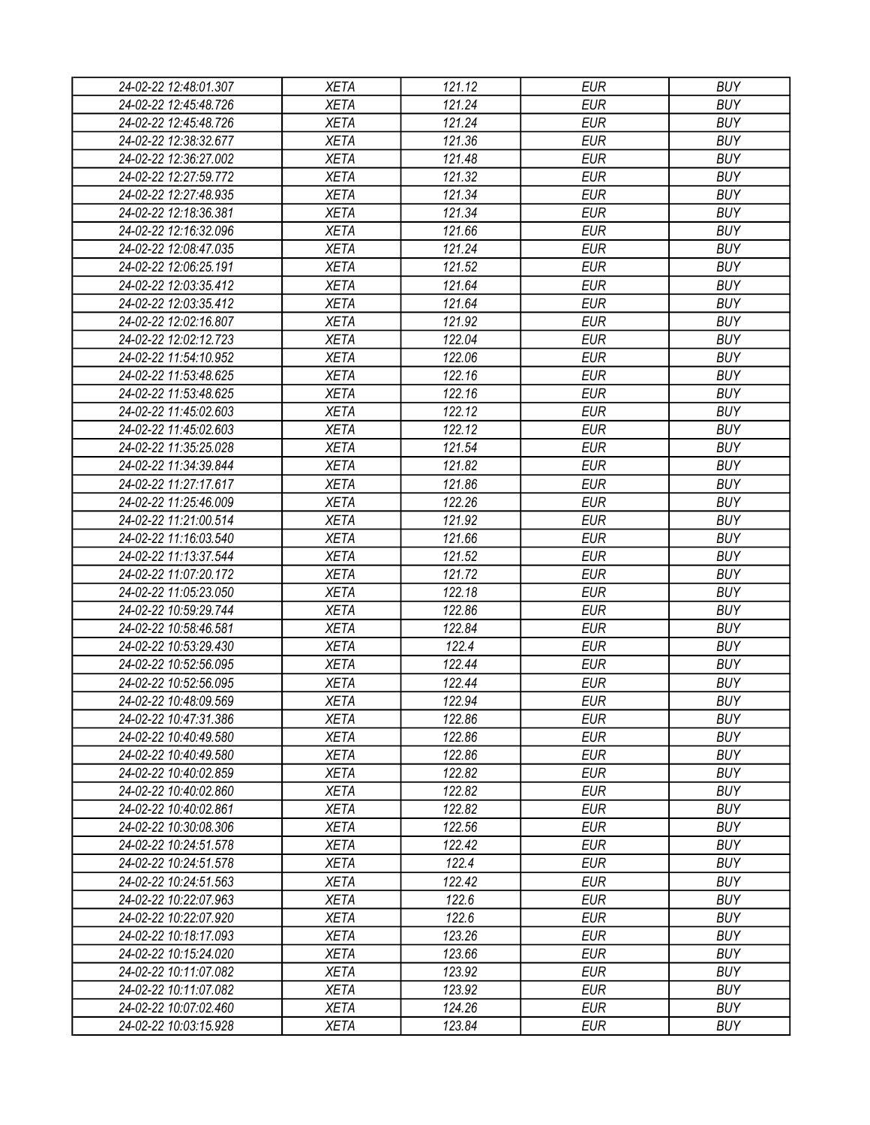| 24-02-22 12:48:01.307 | <b>XETA</b> | 121.12 | <b>EUR</b> | <b>BUY</b> |
|-----------------------|-------------|--------|------------|------------|
| 24-02-22 12:45:48.726 | <b>XETA</b> | 121.24 | <b>EUR</b> | <b>BUY</b> |
| 24-02-22 12:45:48.726 | <b>XETA</b> | 121.24 | <b>EUR</b> | <b>BUY</b> |
| 24-02-22 12:38:32.677 | <b>XETA</b> | 121.36 | <b>EUR</b> | <b>BUY</b> |
| 24-02-22 12:36:27.002 | <b>XETA</b> | 121.48 | <b>EUR</b> | <b>BUY</b> |
| 24-02-22 12:27:59.772 | <b>XETA</b> | 121.32 | <b>EUR</b> | <b>BUY</b> |
| 24-02-22 12:27:48.935 | <b>XETA</b> | 121.34 | <b>EUR</b> | <b>BUY</b> |
| 24-02-22 12:18:36.381 | <b>XETA</b> | 121.34 | <b>EUR</b> | <b>BUY</b> |
| 24-02-22 12:16:32.096 | <b>XETA</b> | 121.66 | <b>EUR</b> | <b>BUY</b> |
| 24-02-22 12:08:47.035 | <b>XETA</b> | 121.24 | <b>EUR</b> | <b>BUY</b> |
| 24-02-22 12:06:25.191 | <b>XETA</b> | 121.52 | <b>EUR</b> | <b>BUY</b> |
| 24-02-22 12:03:35.412 | <b>XETA</b> | 121.64 | <b>EUR</b> | <b>BUY</b> |
| 24-02-22 12:03:35.412 | <b>XETA</b> | 121.64 | <b>EUR</b> | <b>BUY</b> |
| 24-02-22 12:02:16.807 | <b>XETA</b> | 121.92 | <b>EUR</b> | <b>BUY</b> |
| 24-02-22 12:02:12.723 | <b>XETA</b> | 122.04 | <b>EUR</b> | <b>BUY</b> |
| 24-02-22 11:54:10.952 | <b>XETA</b> | 122.06 | <b>EUR</b> | <b>BUY</b> |
| 24-02-22 11:53:48.625 | <b>XETA</b> | 122.16 | <b>EUR</b> | <b>BUY</b> |
| 24-02-22 11:53:48.625 | <b>XETA</b> | 122.16 | <b>EUR</b> | <b>BUY</b> |
| 24-02-22 11:45:02.603 | <b>XETA</b> | 122.12 | <b>EUR</b> | <b>BUY</b> |
| 24-02-22 11:45:02.603 | <b>XETA</b> | 122.12 | <b>EUR</b> | <b>BUY</b> |
| 24-02-22 11:35:25.028 | <b>XETA</b> | 121.54 | <b>EUR</b> | <b>BUY</b> |
| 24-02-22 11:34:39.844 | <b>XETA</b> | 121.82 | <b>EUR</b> | <b>BUY</b> |
| 24-02-22 11:27:17.617 | <b>XETA</b> | 121.86 | <b>EUR</b> | <b>BUY</b> |
| 24-02-22 11:25:46.009 | <b>XETA</b> | 122.26 | <b>EUR</b> | <b>BUY</b> |
| 24-02-22 11:21:00.514 | <b>XETA</b> | 121.92 | <b>EUR</b> | <b>BUY</b> |
| 24-02-22 11:16:03.540 | <b>XETA</b> | 121.66 | <b>EUR</b> | <b>BUY</b> |
| 24-02-22 11:13:37.544 | <b>XETA</b> | 121.52 | <b>EUR</b> | <b>BUY</b> |
| 24-02-22 11:07:20.172 | <b>XETA</b> | 121.72 | <b>EUR</b> | <b>BUY</b> |
| 24-02-22 11:05:23.050 | <b>XETA</b> | 122.18 | <b>EUR</b> | <b>BUY</b> |
| 24-02-22 10:59:29.744 | <b>XETA</b> | 122.86 | <b>EUR</b> | <b>BUY</b> |
| 24-02-22 10:58:46.581 | <b>XETA</b> | 122.84 | <b>EUR</b> | <b>BUY</b> |
| 24-02-22 10:53:29.430 | <b>XETA</b> | 122.4  | <b>EUR</b> | <b>BUY</b> |
| 24-02-22 10:52:56.095 | <b>XETA</b> | 122.44 | <b>EUR</b> | <b>BUY</b> |
| 24-02-22 10:52:56.095 | <b>XETA</b> | 122.44 | <b>EUR</b> | <b>BUY</b> |
| 24-02-22 10:48:09.569 | <b>XETA</b> | 122.94 | <b>EUR</b> | <b>BUY</b> |
| 24-02-22 10:47:31.386 | <b>XETA</b> | 122.86 | <b>EUR</b> | <b>BUY</b> |
| 24-02-22 10:40:49.580 | <b>XETA</b> | 122.86 | <b>EUR</b> | <b>BUY</b> |
| 24-02-22 10:40:49.580 | <b>XETA</b> | 122.86 | <b>EUR</b> | <b>BUY</b> |
| 24-02-22 10:40:02.859 | <b>XETA</b> | 122.82 | <b>EUR</b> | <b>BUY</b> |
| 24-02-22 10:40:02.860 | <b>XETA</b> | 122.82 | <b>EUR</b> | <b>BUY</b> |
| 24-02-22 10:40:02.861 | <b>XETA</b> | 122.82 | <b>EUR</b> | <b>BUY</b> |
| 24-02-22 10:30:08.306 | <b>XETA</b> | 122.56 | <b>EUR</b> | <b>BUY</b> |
| 24-02-22 10:24:51.578 | <b>XETA</b> | 122.42 | <b>EUR</b> | <b>BUY</b> |
| 24-02-22 10:24:51.578 | <b>XETA</b> | 122.4  | <b>EUR</b> | <b>BUY</b> |
| 24-02-22 10:24:51.563 | <b>XETA</b> | 122.42 | <b>EUR</b> | <b>BUY</b> |
| 24-02-22 10:22:07.963 | <b>XETA</b> | 122.6  | <b>EUR</b> | <b>BUY</b> |
| 24-02-22 10:22:07.920 | <b>XETA</b> | 122.6  | <b>EUR</b> | <b>BUY</b> |
| 24-02-22 10:18:17.093 | <b>XETA</b> | 123.26 | <b>EUR</b> | <b>BUY</b> |
| 24-02-22 10:15:24.020 | <b>XETA</b> | 123.66 | <b>EUR</b> | <b>BUY</b> |
| 24-02-22 10:11:07.082 | <b>XETA</b> | 123.92 | <b>EUR</b> | <b>BUY</b> |
| 24-02-22 10:11:07.082 | <b>XETA</b> | 123.92 | <b>EUR</b> | <b>BUY</b> |
| 24-02-22 10:07:02.460 | <b>XETA</b> | 124.26 | <b>EUR</b> | <b>BUY</b> |
| 24-02-22 10:03:15.928 | <b>XETA</b> | 123.84 | <b>EUR</b> | <b>BUY</b> |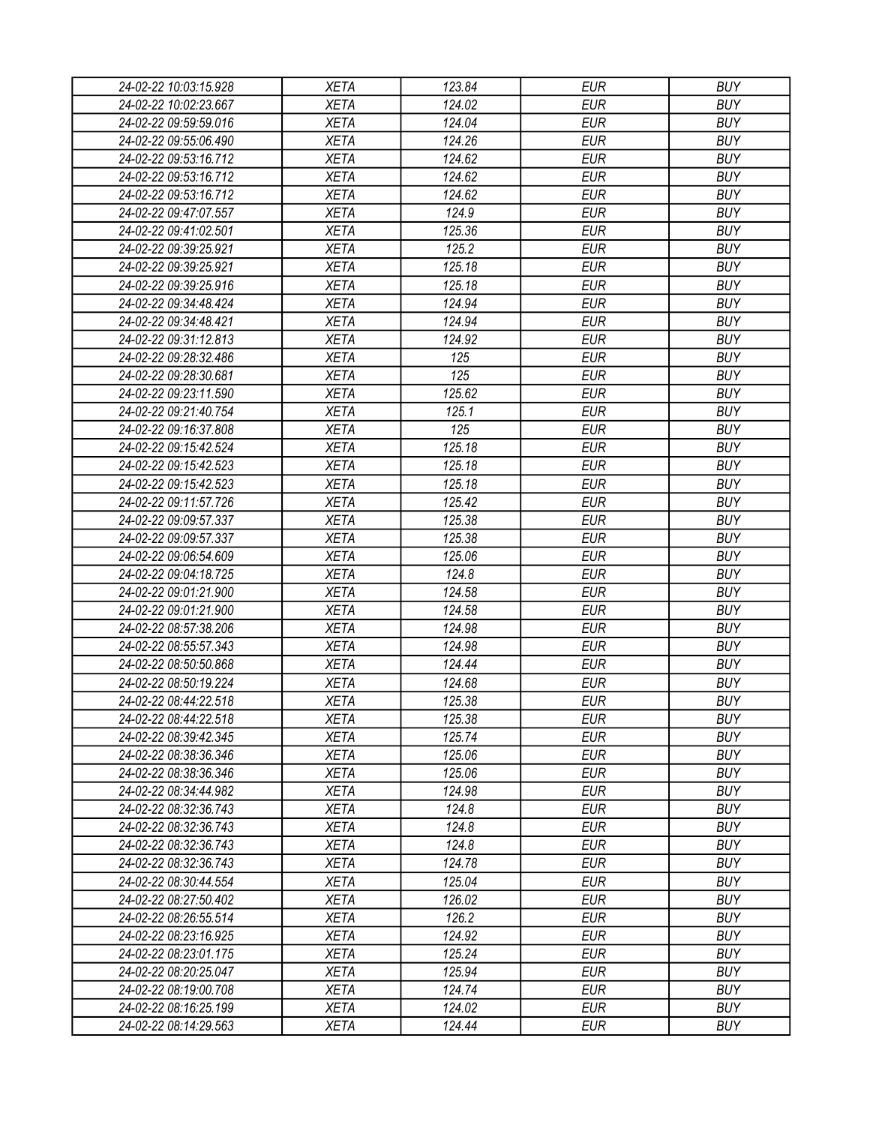| 24-02-22 10:03:15.928 | <b>XETA</b> | 123.84 | <b>EUR</b> | <b>BUY</b> |
|-----------------------|-------------|--------|------------|------------|
| 24-02-22 10:02:23.667 | <b>XETA</b> | 124.02 | <b>EUR</b> | <b>BUY</b> |
| 24-02-22 09:59:59.016 | <b>XETA</b> | 124.04 | <b>EUR</b> | <b>BUY</b> |
| 24-02-22 09:55:06.490 | <b>XETA</b> | 124.26 | <b>EUR</b> | <b>BUY</b> |
| 24-02-22 09:53:16.712 | <b>XETA</b> | 124.62 | <b>EUR</b> | <b>BUY</b> |
| 24-02-22 09:53:16.712 | <b>XETA</b> | 124.62 | <b>EUR</b> | <b>BUY</b> |
| 24-02-22 09:53:16.712 | <b>XETA</b> | 124.62 | <b>EUR</b> | <b>BUY</b> |
| 24-02-22 09:47:07.557 | <b>XETA</b> | 124.9  | <b>EUR</b> | <b>BUY</b> |
| 24-02-22 09:41:02.501 | <b>XETA</b> | 125.36 | <b>EUR</b> | <b>BUY</b> |
| 24-02-22 09:39:25.921 | <b>XETA</b> | 125.2  | <b>EUR</b> | <b>BUY</b> |
| 24-02-22 09:39:25.921 | <b>XETA</b> | 125.18 | <b>EUR</b> | <b>BUY</b> |
| 24-02-22 09:39:25.916 | <b>XETA</b> | 125.18 | <b>EUR</b> | <b>BUY</b> |
| 24-02-22 09:34:48.424 | <b>XETA</b> | 124.94 | <b>EUR</b> | <b>BUY</b> |
| 24-02-22 09:34:48.421 | <b>XETA</b> | 124.94 | <b>EUR</b> | <b>BUY</b> |
| 24-02-22 09:31:12.813 | <b>XETA</b> | 124.92 | <b>EUR</b> | <b>BUY</b> |
| 24-02-22 09:28:32.486 | <b>XETA</b> | 125    | <b>EUR</b> | <b>BUY</b> |
| 24-02-22 09:28:30.681 | <b>XETA</b> | 125    | <b>EUR</b> | <b>BUY</b> |
| 24-02-22 09:23:11.590 | <b>XETA</b> | 125.62 | <b>EUR</b> | <b>BUY</b> |
| 24-02-22 09:21:40.754 | <b>XETA</b> | 125.1  | <b>EUR</b> | <b>BUY</b> |
|                       |             |        |            |            |
| 24-02-22 09:16:37.808 | <b>XETA</b> | 125    | <b>EUR</b> | <b>BUY</b> |
| 24-02-22 09:15:42.524 | <b>XETA</b> | 125.18 | <b>EUR</b> | <b>BUY</b> |
| 24-02-22 09:15:42.523 | <b>XETA</b> | 125.18 | <b>EUR</b> | <b>BUY</b> |
| 24-02-22 09:15:42.523 | <b>XETA</b> | 125.18 | <b>EUR</b> | <b>BUY</b> |
| 24-02-22 09:11:57.726 | <b>XETA</b> | 125.42 | <b>EUR</b> | <b>BUY</b> |
| 24-02-22 09:09:57.337 | <b>XETA</b> | 125.38 | <b>EUR</b> | <b>BUY</b> |
| 24-02-22 09:09:57.337 | <b>XETA</b> | 125.38 | <b>EUR</b> | <b>BUY</b> |
| 24-02-22 09:06:54.609 | <b>XETA</b> | 125.06 | <b>EUR</b> | <b>BUY</b> |
| 24-02-22 09:04:18.725 | <b>XETA</b> | 124.8  | <b>EUR</b> | <b>BUY</b> |
| 24-02-22 09:01:21.900 | <b>XETA</b> | 124.58 | <b>EUR</b> | <b>BUY</b> |
| 24-02-22 09:01:21.900 | <b>XETA</b> | 124.58 | <b>EUR</b> | <b>BUY</b> |
| 24-02-22 08:57:38.206 | <b>XETA</b> | 124.98 | <b>EUR</b> | <b>BUY</b> |
| 24-02-22 08:55:57.343 | <b>XETA</b> | 124.98 | <b>EUR</b> | <b>BUY</b> |
| 24-02-22 08:50:50.868 | <b>XETA</b> | 124.44 | <b>EUR</b> | <b>BUY</b> |
| 24-02-22 08:50:19.224 | <b>XETA</b> | 124.68 | <b>EUR</b> | <b>BUY</b> |
| 24-02-22 08:44:22.518 | <b>XETA</b> | 125.38 | <b>EUR</b> | <b>BUY</b> |
| 24-02-22 08:44:22.518 | <b>XETA</b> | 125.38 | <b>EUR</b> | <b>BUY</b> |
| 24-02-22 08:39:42.345 | <b>XETA</b> | 125.74 | <b>EUR</b> | <b>BUY</b> |
| 24-02-22 08:38:36.346 | <b>XETA</b> | 125.06 | <b>EUR</b> | <b>BUY</b> |
| 24-02-22 08:38:36.346 | <b>XETA</b> | 125.06 | <b>EUR</b> | <b>BUY</b> |
| 24-02-22 08:34:44.982 | <b>XETA</b> | 124.98 | <b>EUR</b> | <b>BUY</b> |
| 24-02-22 08:32:36.743 | <b>XETA</b> | 124.8  | <b>EUR</b> | <b>BUY</b> |
| 24-02-22 08:32:36.743 | <b>XETA</b> | 124.8  | <b>EUR</b> | <b>BUY</b> |
| 24-02-22 08:32:36.743 | <b>XETA</b> | 124.8  | <b>EUR</b> | <b>BUY</b> |
| 24-02-22 08:32:36.743 | <b>XETA</b> | 124.78 | <b>EUR</b> | <b>BUY</b> |
| 24-02-22 08:30:44.554 | <b>XETA</b> | 125.04 | <b>EUR</b> | <b>BUY</b> |
| 24-02-22 08:27:50.402 | <b>XETA</b> | 126.02 | <b>EUR</b> | <b>BUY</b> |
| 24-02-22 08:26:55.514 | <b>XETA</b> | 126.2  | <b>EUR</b> | <b>BUY</b> |
| 24-02-22 08:23:16.925 | <b>XETA</b> | 124.92 | <b>EUR</b> | <b>BUY</b> |
| 24-02-22 08:23:01.175 | <b>XETA</b> | 125.24 | <b>EUR</b> | <b>BUY</b> |
| 24-02-22 08:20:25.047 | <b>XETA</b> | 125.94 | <b>EUR</b> | <b>BUY</b> |
| 24-02-22 08:19:00.708 | <b>XETA</b> | 124.74 | EUR        | <b>BUY</b> |
| 24-02-22 08:16:25.199 | XETA        | 124.02 | <b>EUR</b> | <b>BUY</b> |
| 24-02-22 08:14:29.563 | <b>XETA</b> | 124.44 | <b>EUR</b> | <b>BUY</b> |
|                       |             |        |            |            |